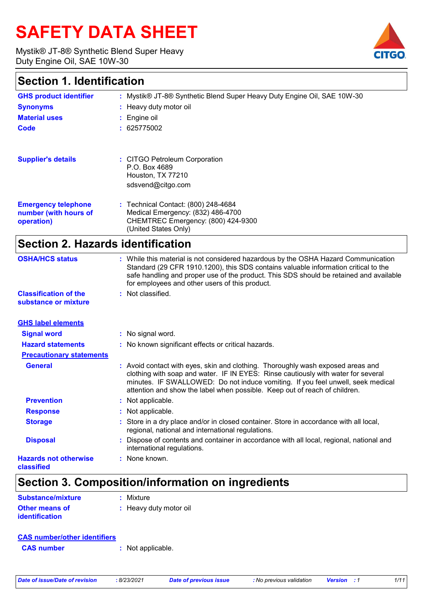# **SAFETY DATA SHEET**

Mystik® JT-8® Synthetic Blend Super Heavy Duty Engine Oil, SAE 10W-30



## **Section 1. Identification**

| occuon nachancauch                                                |                                                                                                                                                                                                                                                                                                                       |
|-------------------------------------------------------------------|-----------------------------------------------------------------------------------------------------------------------------------------------------------------------------------------------------------------------------------------------------------------------------------------------------------------------|
| <b>GHS product identifier</b>                                     | : Mystik® JT-8® Synthetic Blend Super Heavy Duty Engine Oil, SAE 10W-30                                                                                                                                                                                                                                               |
| <b>Synonyms</b>                                                   | : Heavy duty motor oil                                                                                                                                                                                                                                                                                                |
| <b>Material uses</b>                                              | Engine oil                                                                                                                                                                                                                                                                                                            |
| Code                                                              | 625775002                                                                                                                                                                                                                                                                                                             |
| <b>Supplier's details</b>                                         | : CITGO Petroleum Corporation<br>P.O. Box 4689<br>Houston, TX 77210<br>sdsvend@citgo.com                                                                                                                                                                                                                              |
| <b>Emergency telephone</b><br>number (with hours of<br>operation) | : Technical Contact: (800) 248-4684<br>Medical Emergency: (832) 486-4700<br>CHEMTREC Emergency: (800) 424-9300<br>(United States Only)                                                                                                                                                                                |
| <b>Section 2. Hazards identification</b>                          |                                                                                                                                                                                                                                                                                                                       |
| <b>OSHA/HCS status</b>                                            | : While this material is not considered hazardous by the OSHA Hazard Communication<br>Standard (29 CFR 1910.1200), this SDS contains valuable information critical to the<br>safe handling and proper use of the product. This SDS should be retained and available<br>for employees and other users of this product. |
| <b>Classification of the</b><br>substance or mixture              | : Not classified.                                                                                                                                                                                                                                                                                                     |
| <b>GHS label elements</b>                                         |                                                                                                                                                                                                                                                                                                                       |
| <b>Signal word</b>                                                | : No signal word.                                                                                                                                                                                                                                                                                                     |
| <b>Hazard statements</b>                                          | : No known significant effects or critical hazards.                                                                                                                                                                                                                                                                   |
| <b>Precautionary statements</b>                                   |                                                                                                                                                                                                                                                                                                                       |

**Prevention :** Not applicable. **General :** Avoid contact with eyes, skin and clothing. Thoroughly wash exposed areas and clothing with soap and water. IF IN EYES: Rinse cautiously with water for several minutes. IF SWALLOWED: Do not induce vomiting. If you feel unwell, seek medical attention and show the label when possible. Keep out of reach of children.

| <u>LIVVUIUVIL</u> | . TVOI UPPIIVUUIV.                                                                                                                          |
|-------------------|---------------------------------------------------------------------------------------------------------------------------------------------|
| <b>Response</b>   | : Not applicable.                                                                                                                           |
| <b>Storage</b>    | : Store in a dry place and/or in closed container. Store in accordance with all local,<br>regional, national and international regulations. |
| <b>Disposal</b>   | Dispose of contents and container in accordance with all local, regional, national and<br>international regulations.                        |

**Hazards not otherwise classified**

## **Section 3. Composition/information on ingredients**

**:** None known.

| Substance/mixture                              | : Mixture              |
|------------------------------------------------|------------------------|
| <b>Other means of</b><br><b>identification</b> | : Heavy duty motor oil |

| <b>CAS number</b> | : Not applicable. |
|-------------------|-------------------|
|-------------------|-------------------|

|  |  | Date of issue/Date of revision |  |
|--|--|--------------------------------|--|
|  |  |                                |  |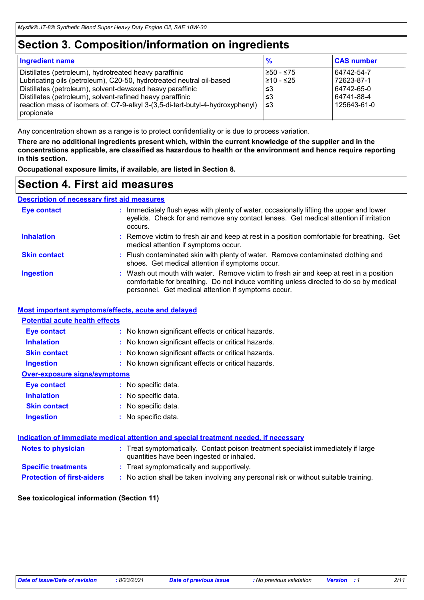## **Section 3. Composition/information on ingredients**

| Ingredient name                                                               | $\frac{9}{6}$ | <b>CAS number</b> |
|-------------------------------------------------------------------------------|---------------|-------------------|
| Distillates (petroleum), hydrotreated heavy paraffinic                        | l≥50 - ≤75    | 64742-54-7        |
| Lubricating oils (petroleum), C20-50, hydrotreated neutral oil-based          | 210 - ≤25     | 72623-87-1        |
| Distillates (petroleum), solvent-dewaxed heavy paraffinic                     | ∣≤3           | 64742-65-0        |
| Distillates (petroleum), solvent-refined heavy paraffinic                     | l≤3           | 64741-88-4        |
| reaction mass of isomers of: C7-9-alkyl 3-(3,5-di-tert-butyl-4-hydroxyphenyl) | l≤3           | 125643-61-0       |
| propionate                                                                    |               |                   |

Any concentration shown as a range is to protect confidentiality or is due to process variation.

**There are no additional ingredients present which, within the current knowledge of the supplier and in the concentrations applicable, are classified as hazardous to health or the environment and hence require reporting in this section.**

**Occupational exposure limits, if available, are listed in Section 8.**

## **Section 4. First aid measures**

### **Description of necessary first aid measures**

| <b>Eye contact</b>  | : Immediately flush eyes with plenty of water, occasionally lifting the upper and lower<br>eyelids. Check for and remove any contact lenses. Get medical attention if irritation<br>occurs.                                            |
|---------------------|----------------------------------------------------------------------------------------------------------------------------------------------------------------------------------------------------------------------------------------|
| <b>Inhalation</b>   | : Remove victim to fresh air and keep at rest in a position comfortable for breathing. Get<br>medical attention if symptoms occur.                                                                                                     |
| <b>Skin contact</b> | : Flush contaminated skin with plenty of water. Remove contaminated clothing and<br>shoes. Get medical attention if symptoms occur.                                                                                                    |
| <b>Ingestion</b>    | : Wash out mouth with water. Remove victim to fresh air and keep at rest in a position<br>comfortable for breathing. Do not induce vomiting unless directed to do so by medical<br>personnel. Get medical attention if symptoms occur. |

#### **Most important symptoms/effects, acute and delayed**

| <b>Eye contact</b>                  | : No known significant effects or critical hazards. |
|-------------------------------------|-----------------------------------------------------|
| <b>Inhalation</b>                   | : No known significant effects or critical hazards. |
| <b>Skin contact</b>                 | : No known significant effects or critical hazards. |
| <b>Ingestion</b>                    | : No known significant effects or critical hazards. |
| <b>Over-exposure signs/symptoms</b> |                                                     |
| <b>Eve contact</b>                  | : No specific data.                                 |
| <b>Inhalation</b>                   | : No specific data.                                 |
| <b>Skin contact</b>                 | : No specific data.                                 |
| <b>Ingestion</b>                    | : No specific data.                                 |

| <b>Notes to physician</b>         | : Treat symptomatically. Contact poison treatment specialist immediately if large<br>quantities have been ingested or inhaled. |
|-----------------------------------|--------------------------------------------------------------------------------------------------------------------------------|
| <b>Specific treatments</b>        | : Treat symptomatically and supportively.                                                                                      |
| <b>Protection of first-aiders</b> | No action shall be taken involving any personal risk or without suitable training.                                             |

#### **See toxicological information (Section 11)**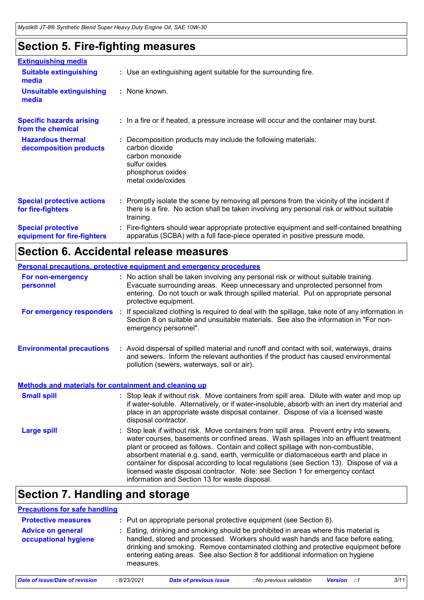## **Section 5. Fire-fighting measures**

| <b>Extinguishing media</b>                               |                                                                                                                                                                                                     |
|----------------------------------------------------------|-----------------------------------------------------------------------------------------------------------------------------------------------------------------------------------------------------|
| <b>Suitable extinguishing</b><br>media                   | : Use an extinguishing agent suitable for the surrounding fire.                                                                                                                                     |
| <b>Unsuitable extinguishing</b><br>media                 | : None known.                                                                                                                                                                                       |
| <b>Specific hazards arising</b><br>from the chemical     | : In a fire or if heated, a pressure increase will occur and the container may burst.                                                                                                               |
| <b>Hazardous thermal</b><br>decomposition products       | Decomposition products may include the following materials:<br>carbon dioxide<br>carbon monoxide<br>sulfur oxides<br>phosphorus oxides<br>metal oxide/oxides                                        |
| <b>Special protective actions</b><br>for fire-fighters   | : Promptly isolate the scene by removing all persons from the vicinity of the incident if<br>there is a fire. No action shall be taken involving any personal risk or without suitable<br>training. |
| <b>Special protective</b><br>equipment for fire-fighters | Fire-fighters should wear appropriate protective equipment and self-contained breathing<br>apparatus (SCBA) with a full face-piece operated in positive pressure mode.                              |

## **Section 6. Accidental release measures**

| <b>Personal precautions, protective equipment and emergency procedures</b> |          |                                                                                                                                                                                                                                                                                                                                                                                                                                                                                                                                                                                            |  |  |
|----------------------------------------------------------------------------|----------|--------------------------------------------------------------------------------------------------------------------------------------------------------------------------------------------------------------------------------------------------------------------------------------------------------------------------------------------------------------------------------------------------------------------------------------------------------------------------------------------------------------------------------------------------------------------------------------------|--|--|
| For non-emergency<br>personnel                                             |          | : No action shall be taken involving any personal risk or without suitable training.<br>Evacuate surrounding areas. Keep unnecessary and unprotected personnel from<br>entering. Do not touch or walk through spilled material. Put on appropriate personal<br>protective equipment.                                                                                                                                                                                                                                                                                                       |  |  |
| For emergency responders                                                   | <b>C</b> | If specialized clothing is required to deal with the spillage, take note of any information in<br>Section 8 on suitable and unsuitable materials. See also the information in "For non-<br>emergency personnel".                                                                                                                                                                                                                                                                                                                                                                           |  |  |
| <b>Environmental precautions</b>                                           |          | : Avoid dispersal of spilled material and runoff and contact with soil, waterways, drains<br>and sewers. Inform the relevant authorities if the product has caused environmental<br>pollution (sewers, waterways, soil or air).                                                                                                                                                                                                                                                                                                                                                            |  |  |
| <b>Methods and materials for containment and cleaning up</b>               |          |                                                                                                                                                                                                                                                                                                                                                                                                                                                                                                                                                                                            |  |  |
| <b>Small spill</b>                                                         |          | : Stop leak if without risk. Move containers from spill area. Dilute with water and mop up<br>if water-soluble. Alternatively, or if water-insoluble, absorb with an inert dry material and<br>place in an appropriate waste disposal container. Dispose of via a licensed waste<br>disposal contractor.                                                                                                                                                                                                                                                                                   |  |  |
| <b>Large spill</b>                                                         |          | : Stop leak if without risk. Move containers from spill area. Prevent entry into sewers,<br>water courses, basements or confined areas. Wash spillages into an effluent treatment<br>plant or proceed as follows. Contain and collect spillage with non-combustible,<br>absorbent material e.g. sand, earth, vermiculite or diatomaceous earth and place in<br>container for disposal according to local regulations (see Section 13). Dispose of via a<br>licensed waste disposal contractor. Note: see Section 1 for emergency contact<br>information and Section 13 for waste disposal. |  |  |

## **Section 7. Handling and storage**

| <b>Precautions for safe handling</b>             |            |                                                                                                                                                                                                                                                                                                                                                |                          |                    |      |
|--------------------------------------------------|------------|------------------------------------------------------------------------------------------------------------------------------------------------------------------------------------------------------------------------------------------------------------------------------------------------------------------------------------------------|--------------------------|--------------------|------|
| <b>Protective measures</b>                       |            | Put on appropriate personal protective equipment (see Section 8).                                                                                                                                                                                                                                                                              |                          |                    |      |
| <b>Advice on general</b><br>occupational hygiene | measures.  | Eating, drinking and smoking should be prohibited in areas where this material is<br>handled, stored and processed. Workers should wash hands and face before eating,<br>drinking and smoking. Remove contaminated clothing and protective equipment before<br>entering eating areas. See also Section 8 for additional information on hygiene |                          |                    |      |
| Date of issue/Date of revision                   | :8/23/2021 | <b>Date of previous issue</b>                                                                                                                                                                                                                                                                                                                  | : No previous validation | <b>Version</b> : 1 | 3/11 |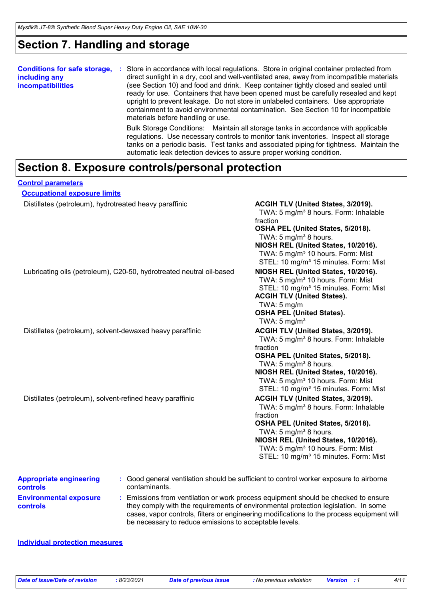## **Section 7. Handling and storage**

| <b>Conditions for safe storage,</b><br>including any<br><i>incompatibilities</i> | Store in accordance with local regulations. Store in original container protected from<br>÷<br>direct sunlight in a dry, cool and well-ventilated area, away from incompatible materials<br>(see Section 10) and food and drink. Keep container tightly closed and sealed until<br>ready for use. Containers that have been opened must be carefully resealed and kept<br>upright to prevent leakage. Do not store in unlabeled containers. Use appropriate<br>containment to avoid environmental contamination. See Section 10 for incompatible<br>materials before handling or use. |
|----------------------------------------------------------------------------------|---------------------------------------------------------------------------------------------------------------------------------------------------------------------------------------------------------------------------------------------------------------------------------------------------------------------------------------------------------------------------------------------------------------------------------------------------------------------------------------------------------------------------------------------------------------------------------------|
|                                                                                  | Bulk Storage Conditions: Maintain all storage tanks in accordance with applicable<br>regulations. Use necessary controls to monitor tank inventories. Inspect all storage<br>tanks on a periodic basis. Test tanks and associated piping for tightness. Maintain the<br>automatic leak detection devices to assure proper working condition.                                                                                                                                                                                                                                          |

## **Section 8. Exposure controls/personal protection**

| <b>Control parameters</b>                                            |                                                                                                                                                                                                                                                                                                                            |
|----------------------------------------------------------------------|----------------------------------------------------------------------------------------------------------------------------------------------------------------------------------------------------------------------------------------------------------------------------------------------------------------------------|
| <b>Occupational exposure limits</b>                                  |                                                                                                                                                                                                                                                                                                                            |
| Distillates (petroleum), hydrotreated heavy paraffinic               | ACGIH TLV (United States, 3/2019).<br>TWA: 5 mg/m <sup>3</sup> 8 hours. Form: Inhalable<br>fraction<br>OSHA PEL (United States, 5/2018).<br>TWA: 5 mg/m <sup>3</sup> 8 hours.<br>NIOSH REL (United States, 10/2016).<br>TWA: 5 mg/m <sup>3</sup> 10 hours. Form: Mist<br>STEL: 10 mg/m <sup>3</sup> 15 minutes. Form: Mist |
| Lubricating oils (petroleum), C20-50, hydrotreated neutral oil-based | NIOSH REL (United States, 10/2016).<br>TWA: 5 mg/m <sup>3</sup> 10 hours. Form: Mist<br>STEL: 10 mg/m <sup>3</sup> 15 minutes. Form: Mist<br><b>ACGIH TLV (United States).</b><br>TWA: $5 \text{ mg/m}$<br><b>OSHA PEL (United States).</b><br>TWA: $5 \text{ mg/m}^3$                                                     |
| Distillates (petroleum), solvent-dewaxed heavy paraffinic            | ACGIH TLV (United States, 3/2019).<br>TWA: 5 mg/m <sup>3</sup> 8 hours. Form: Inhalable<br>fraction<br>OSHA PEL (United States, 5/2018).<br>TWA: 5 mg/m <sup>3</sup> 8 hours.<br>NIOSH REL (United States, 10/2016).<br>TWA: 5 mg/m <sup>3</sup> 10 hours. Form: Mist<br>STEL: 10 mg/m <sup>3</sup> 15 minutes. Form: Mist |
| Distillates (petroleum), solvent-refined heavy paraffinic            | ACGIH TLV (United States, 3/2019).<br>TWA: 5 mg/m <sup>3</sup> 8 hours. Form: Inhalable<br>fraction<br>OSHA PEL (United States, 5/2018).<br>TWA: 5 mg/m <sup>3</sup> 8 hours.<br>NIOSH REL (United States, 10/2016).<br>TWA: 5 mg/m <sup>3</sup> 10 hours. Form: Mist<br>STEL: 10 mg/m <sup>3</sup> 15 minutes. Form: Mist |
| <b>Appropriate engineering</b><br>contaminants.<br>controls          | Good general ventilation should be sufficient to control worker exposure to airborne                                                                                                                                                                                                                                       |

**Environmental exposure controls :** Emissions from ventilation or work process equipment should be checked to ensure they comply with the requirements of environmental protection legislation. In some cases, vapor controls, filters or engineering modifications to the process equipment will be necessary to reduce emissions to acceptable levels.

#### **Individual protection measures**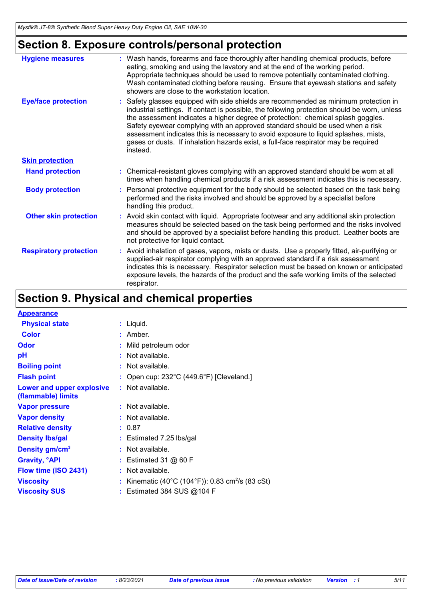## **Section 8. Exposure controls/personal protection**

| <b>Hygiene measures</b>       | : Wash hands, forearms and face thoroughly after handling chemical products, before<br>eating, smoking and using the lavatory and at the end of the working period.<br>Appropriate techniques should be used to remove potentially contaminated clothing.<br>Wash contaminated clothing before reusing. Ensure that eyewash stations and safety<br>showers are close to the workstation location.                                                                                                                                                   |
|-------------------------------|-----------------------------------------------------------------------------------------------------------------------------------------------------------------------------------------------------------------------------------------------------------------------------------------------------------------------------------------------------------------------------------------------------------------------------------------------------------------------------------------------------------------------------------------------------|
| <b>Eye/face protection</b>    | : Safety glasses equipped with side shields are recommended as minimum protection in<br>industrial settings. If contact is possible, the following protection should be worn, unless<br>the assessment indicates a higher degree of protection: chemical splash goggles.<br>Safety eyewear complying with an approved standard should be used when a risk<br>assessment indicates this is necessary to avoid exposure to liquid splashes, mists,<br>gases or dusts. If inhalation hazards exist, a full-face respirator may be required<br>instead. |
| <b>Skin protection</b>        |                                                                                                                                                                                                                                                                                                                                                                                                                                                                                                                                                     |
| <b>Hand protection</b>        | : Chemical-resistant gloves complying with an approved standard should be worn at all<br>times when handling chemical products if a risk assessment indicates this is necessary.                                                                                                                                                                                                                                                                                                                                                                    |
| <b>Body protection</b>        | : Personal protective equipment for the body should be selected based on the task being<br>performed and the risks involved and should be approved by a specialist before<br>handling this product.                                                                                                                                                                                                                                                                                                                                                 |
| <b>Other skin protection</b>  | : Avoid skin contact with liquid. Appropriate footwear and any additional skin protection<br>measures should be selected based on the task being performed and the risks involved<br>and should be approved by a specialist before handling this product. Leather boots are<br>not protective for liquid contact.                                                                                                                                                                                                                                   |
| <b>Respiratory protection</b> | : Avoid inhalation of gases, vapors, mists or dusts. Use a properly fitted, air-purifying or<br>supplied-air respirator complying with an approved standard if a risk assessment<br>indicates this is necessary. Respirator selection must be based on known or anticipated<br>exposure levels, the hazards of the product and the safe working limits of the selected<br>respirator.                                                                                                                                                               |

## **Section 9. Physical and chemical properties**

| <b>Appearance</b>                               |                                                            |
|-------------------------------------------------|------------------------------------------------------------|
| <b>Physical state</b>                           | : Liquid.                                                  |
| <b>Color</b>                                    | $:$ Amber.                                                 |
| <b>Odor</b>                                     | Mild petroleum odor                                        |
| рH                                              | Not available.                                             |
| <b>Boiling point</b>                            | $:$ Not available.                                         |
| <b>Flash point</b>                              | Open cup: 232°C (449.6°F) [Cleveland.]                     |
| Lower and upper explosive<br>(flammable) limits | $:$ Not available.                                         |
| <b>Vapor pressure</b>                           | $:$ Not available.                                         |
| <b>Vapor density</b>                            | $:$ Not available.                                         |
| <b>Relative density</b>                         | : 0.87                                                     |
| <b>Density Ibs/gal</b>                          | $:$ Estimated 7.25 lbs/gal                                 |
| Density gm/cm <sup>3</sup>                      | $:$ Not available.                                         |
| <b>Gravity, <sup>o</sup>API</b>                 | : Estimated 31 $@$ 60 F                                    |
| Flow time (ISO 2431)                            | $:$ Not available.                                         |
| <b>Viscosity</b>                                | Kinematic (40°C (104°F)): 0.83 cm <sup>2</sup> /s (83 cSt) |
| <b>Viscosity SUS</b>                            | : Estimated 384 SUS @104 F                                 |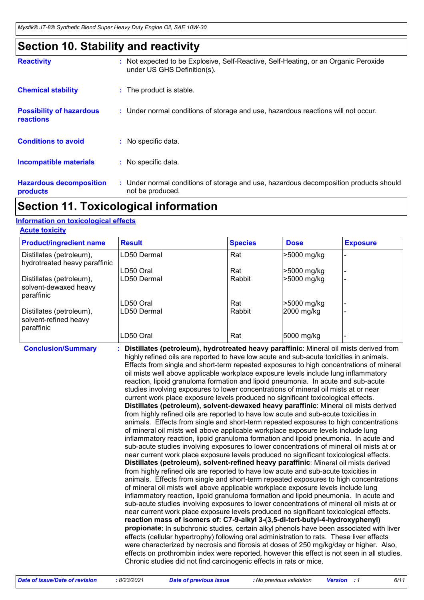## **Section 10. Stability and reactivity**

| <b>Reactivity</b>                                   | : Not expected to be Explosive, Self-Reactive, Self-Heating, or an Organic Peroxide<br>under US GHS Definition(s). |  |
|-----------------------------------------------------|--------------------------------------------------------------------------------------------------------------------|--|
| <b>Chemical stability</b>                           | : The product is stable.                                                                                           |  |
| <b>Possibility of hazardous</b><br><b>reactions</b> | : Under normal conditions of storage and use, hazardous reactions will not occur.                                  |  |
| <b>Conditions to avoid</b>                          | : No specific data.                                                                                                |  |
| <b>Incompatible materials</b>                       | : No specific data.                                                                                                |  |
| <b>Hazardous decomposition</b><br>products          | : Under normal conditions of storage and use, hazardous decomposition products should<br>not be produced.          |  |

## **Section 11. Toxicological information**

### **Information on toxicological effects**

| <b>Acute toxicity</b> |  |  |  |  |  |  |
|-----------------------|--|--|--|--|--|--|
|                       |  |  |  |  |  |  |

| <b>Product/ingredient name</b>                                  | <b>Result</b> | <b>Species</b> | <b>Dose</b> | <b>Exposure</b> |
|-----------------------------------------------------------------|---------------|----------------|-------------|-----------------|
| Distillates (petroleum),<br>hydrotreated heavy paraffinic       | LD50 Dermal   | Rat            | >5000 mg/kg |                 |
|                                                                 | LD50 Oral     | Rat            | >5000 mg/kg |                 |
| Distillates (petroleum),<br>solvent-dewaxed heavy<br>paraffinic | LD50 Dermal   | Rabbit         | >5000 mg/kg |                 |
|                                                                 | LD50 Oral     | Rat            | >5000 mg/kg |                 |
| Distillates (petroleum),<br>solvent-refined heavy<br>paraffinic | LD50 Dermal   | Rabbit         | 2000 mg/kg  |                 |
|                                                                 | LD50 Oral     | Rat            | 5000 mg/kg  |                 |

**Conclusion/Summary : Distillates (petroleum), hydrotreated heavy paraffinic**: Mineral oil mists derived from highly refined oils are reported to have low acute and sub-acute toxicities in animals. Effects from single and short-term repeated exposures to high concentrations of mineral oil mists well above applicable workplace exposure levels include lung inflammatory reaction, lipoid granuloma formation and lipoid pneumonia. In acute and sub-acute studies involving exposures to lower concentrations of mineral oil mists at or near current work place exposure levels produced no significant toxicological effects. **Distillates (petroleum), solvent-dewaxed heavy paraffinic**: Mineral oil mists derived from highly refined oils are reported to have low acute and sub-acute toxicities in animals. Effects from single and short-term repeated exposures to high concentrations of mineral oil mists well above applicable workplace exposure levels include lung inflammatory reaction, lipoid granuloma formation and lipoid pneumonia. In acute and sub-acute studies involving exposures to lower concentrations of mineral oil mists at or near current work place exposure levels produced no significant toxicological effects. **Distillates (petroleum), solvent-refined heavy paraffinic**: Mineral oil mists derived from highly refined oils are reported to have low acute and sub-acute toxicities in animals. Effects from single and short-term repeated exposures to high concentrations of mineral oil mists well above applicable workplace exposure levels include lung inflammatory reaction, lipoid granuloma formation and lipoid pneumonia. In acute and sub-acute studies involving exposures to lower concentrations of mineral oil mists at or near current work place exposure levels produced no significant toxicological effects. **reaction mass of isomers of: C7-9-alkyl 3-(3,5-di-tert-butyl-4-hydroxyphenyl) propionate**: In subchronic studies, certain alkyl phenols have been associated with liver effects (cellular hypertrophy) following oral administration to rats. These liver effects were characterized by necrosis and fibrosis at doses of 250 mg/kg/day or higher. Also, effects on prothrombin index were reported, however this effect is not seen in all studies. Chronic studies did not find carcinogenic effects in rats or mice.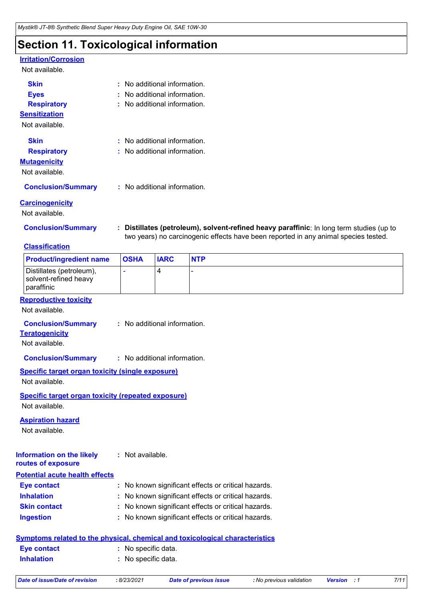## **Section 11. Toxicological information**

## **Irritation/Corrosion**

#### Not available.

| <b>Skin</b>               | $\pm$ No additional information. |
|---------------------------|----------------------------------|
| <b>Eyes</b>               | $:$ No additional information.   |
| <b>Respiratory</b>        | $:$ No additional information.   |
| <b>Sensitization</b>      |                                  |
| Not available.            |                                  |
| <b>Skin</b>               | $:$ No additional information.   |
| <b>Respiratory</b>        | : No additional information.     |
| <b>Mutagenicity</b>       |                                  |
| Not available.            |                                  |
| <b>Conclusion/Summary</b> | : No additional information.     |
|                           |                                  |

#### **Carcinogenicity**

Not available.

**Conclusion/Summary : Distillates (petroleum), solvent-refined heavy paraffinic**: In long term studies (up to two years) no carcinogenic effects have been reported in any animal species tested.

### **Classification**

| <b>Product/ingredient name</b>                                              | <b>OSHA</b>                  | <b>IARC</b> | <b>NTP</b> |
|-----------------------------------------------------------------------------|------------------------------|-------------|------------|
| Distillates (petroleum),<br>solvent-refined heavy<br>paraffinic             |                              | 4           |            |
| <b>Reproductive toxicity</b><br>Not available.                              |                              |             |            |
| <b>Conclusion/Summary</b><br><b>Teratogenicity</b><br>Not available.        | : No additional information. |             |            |
| <b>Conclusion/Summary</b>                                                   | : No additional information. |             |            |
| Specific target organ toxicity (single exposure)<br>Not available.          |                              |             |            |
| <b>Specific target organ toxicity (repeated exposure)</b><br>Not available. |                              |             |            |
| <b>Aspiration hazard</b><br>Not available.                                  |                              |             |            |
| <b>Information on the likely</b><br>routes of exposure                      | : Not available.             |             |            |

#### **Potential acute health effects**

| Eye contact         | : No known significant effects or critical hazards. |
|---------------------|-----------------------------------------------------|
| <b>Inhalation</b>   | : No known significant effects or critical hazards. |
| <b>Skin contact</b> | : No known significant effects or critical hazards. |
| <b>Ingestion</b>    | : No known significant effects or critical hazards. |

| Symptoms related to the physical, chemical and toxicological characteristics |                     |  |  |  |
|------------------------------------------------------------------------------|---------------------|--|--|--|
| <b>Eve contact</b>                                                           | : No specific data. |  |  |  |
| <b>Inhalation</b>                                                            | : No specific data. |  |  |  |

```
Date of issue/Date of revision : 8/23/2021 Date of previous issue : No previous validation Version : 1 7/11
```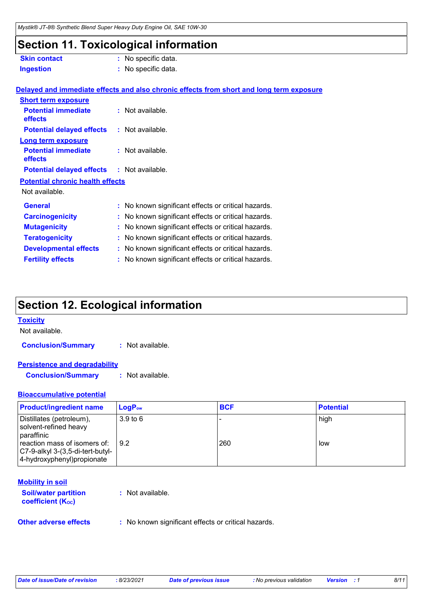## **Section 11. Toxicological information**

| <b>Skin contact</b>                               | : No specific data.                                                                             |
|---------------------------------------------------|-------------------------------------------------------------------------------------------------|
| <b>Ingestion</b>                                  | : No specific data.                                                                             |
|                                                   |                                                                                                 |
|                                                   | <u>Delayed and immediate effects and also chronic effects from short and long term exposure</u> |
| <b>Short term exposure</b>                        |                                                                                                 |
| <b>Potential immediate</b><br>effects             | : Not available.                                                                                |
| <b>Potential delayed effects</b>                  | : Not available.                                                                                |
| <b>Long term exposure</b>                         |                                                                                                 |
| <b>Potential immediate</b><br>effects             | : Not available.                                                                                |
| <b>Potential delayed effects : Not available.</b> |                                                                                                 |
| <b>Potential chronic health effects</b>           |                                                                                                 |
| Not available.                                    |                                                                                                 |
| <b>General</b>                                    | : No known significant effects or critical hazards.                                             |
| <b>Carcinogenicity</b>                            | : No known significant effects or critical hazards.                                             |
| <b>Mutagenicity</b>                               | : No known significant effects or critical hazards.                                             |
| <b>Teratogenicity</b>                             | : No known significant effects or critical hazards.                                             |
| <b>Developmental effects</b>                      | : No known significant effects or critical hazards.                                             |
| <b>Fertility effects</b>                          | : No known significant effects or critical hazards.                                             |
|                                                   |                                                                                                 |

## **Section 12. Ecological information**

#### **Toxicity**

Not available.

**Conclusion/Summary :** Not available.

#### **Persistence and degradability**

**Conclusion/Summary :** Not available.

#### **Bioaccumulative potential**

| <b>Product/ingredient name</b>                                                                  | $\mathsf{LogP}_\mathsf{ow}$ | <b>BCF</b> | <b>Potential</b> |
|-------------------------------------------------------------------------------------------------|-----------------------------|------------|------------------|
| Distillates (petroleum),<br>solvent-refined heavy<br>paraffinic                                 | 3.9 <sub>to</sub> 6         |            | high             |
| reaction mass of isomers of:<br>C7-9-alkyl 3-(3,5-di-tert-butyl-<br>4-hydroxyphenyl) propionate | $\sqrt{9.2}$                | 260        | low              |

#### **Mobility in soil**

| <b>Soil/water partition</b>    | : Not available. |
|--------------------------------|------------------|
| coefficient (K <sub>oc</sub> ) |                  |

**Other adverse effects** : No known significant effects or critical hazards.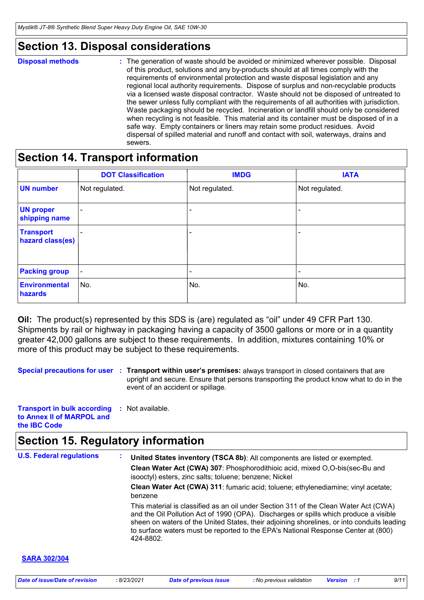## **Section 13. Disposal considerations**

#### **Disposal methods :**

The generation of waste should be avoided or minimized wherever possible. Disposal of this product, solutions and any by-products should at all times comply with the requirements of environmental protection and waste disposal legislation and any regional local authority requirements. Dispose of surplus and non-recyclable products via a licensed waste disposal contractor. Waste should not be disposed of untreated to the sewer unless fully compliant with the requirements of all authorities with jurisdiction. Waste packaging should be recycled. Incineration or landfill should only be considered when recycling is not feasible. This material and its container must be disposed of in a safe way. Empty containers or liners may retain some product residues. Avoid dispersal of spilled material and runoff and contact with soil, waterways, drains and sewers.

## **Section 14. Transport information**

|                                      | <b>DOT Classification</b> | <b>IMDG</b>    | <b>IATA</b>    |
|--------------------------------------|---------------------------|----------------|----------------|
| <b>UN number</b>                     | Not regulated.            | Not regulated. | Not regulated. |
| <b>UN proper</b><br>shipping name    | $\overline{\phantom{a}}$  |                |                |
| <b>Transport</b><br>hazard class(es) |                           |                |                |
| <b>Packing group</b>                 | $\overline{\phantom{a}}$  |                |                |
| <b>Environmental</b><br>hazards      | No.                       | No.            | No.            |

**Oil:** The product(s) represented by this SDS is (are) regulated as "oil" under 49 CFR Part 130. Shipments by rail or highway in packaging having a capacity of 3500 gallons or more or in a quantity greater 42,000 gallons are subject to these requirements. In addition, mixtures containing 10% or more of this product may be subject to these requirements.

**Special precautions for user** : Transport within user's premises: always transport in closed containers that are upright and secure. Ensure that persons transporting the product know what to do in the event of an accident or spillage.

| <b>Transport in bulk according</b> | : Not available. |  |
|------------------------------------|------------------|--|
| to Annex II of MARPOL and          |                  |  |
| the <b>IBC</b> Code                |                  |  |

## **Section 15. Regulatory information**

**U.S. Federal regulations : SARA 302/304 Clean Water Act (CWA) 307**: Phosphorodithioic acid, mixed O,O-bis(sec-Bu and isooctyl) esters, zinc salts; toluene; benzene; Nickel **Clean Water Act (CWA) 311**: fumaric acid; toluene; ethylenediamine; vinyl acetate; benzene **United States inventory (TSCA 8b)**: All components are listed or exempted. This material is classified as an oil under Section 311 of the Clean Water Act (CWA) and the Oil Pollution Act of 1990 (OPA). Discharges or spills which produce a visible sheen on waters of the United States, their adjoining shorelines, or into conduits leading to surface waters must be reported to the EPA's National Response Center at (800) 424-8802.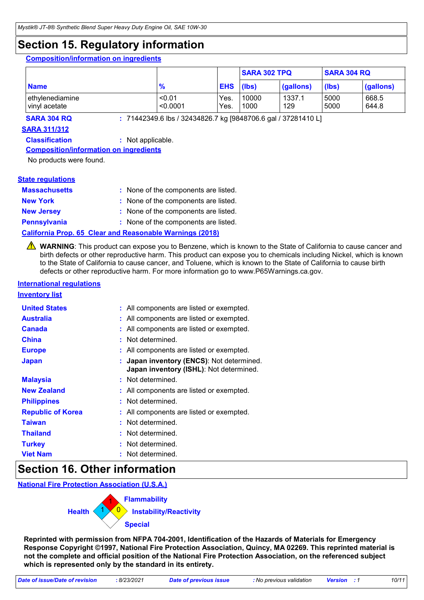## **Section 15. Regulatory information**

#### **Composition/information on ingredients**

|                                  |                    |                  | <b>SARA 302 TPQ</b> |               |              | <b>SARA 304 RQ</b> |  |
|----------------------------------|--------------------|------------------|---------------------|---------------|--------------|--------------------|--|
| <b>Name</b>                      | $\frac{9}{6}$      | <b>EHS</b> (lbs) |                     | (gallons)     | (lbs)        | $\vert$ (gallons)  |  |
| ethylenediamine<br>vinyl acetate | < 0.01<br>< 0.0001 | Yes.<br>Yes.     | 10000<br>1000       | 1337.1<br>129 | 5000<br>5000 | 668.5<br>644.8     |  |

**SARA 304 RQ :** 71442349.6 lbs / 32434826.7 kg [9848706.6 gal / 37281410 L]

#### **SARA 311/312**

**Classification :** Not applicable.

#### **Composition/information on ingredients**

No products were found.

#### **State regulations**

| <b>Massachusetts</b> | : None of the components are listed. |
|----------------------|--------------------------------------|
| <b>New York</b>      | : None of the components are listed. |
| <b>New Jersey</b>    | : None of the components are listed. |
| <b>Pennsylvania</b>  | : None of the components are listed. |

#### **California Prop. 65 Clear and Reasonable Warnings (2018)**

WARNING: This product can expose you to Benzene, which is known to the State of California to cause cancer and birth defects or other reproductive harm. This product can expose you to chemicals including Nickel, which is known to the State of California to cause cancer, and Toluene, which is known to the State of California to cause birth defects or other reproductive harm. For more information go to www.P65Warnings.ca.gov.

### **International regulations**

**Inventory list**

| <b>United States</b>     | : All components are listed or exempted.                                             |
|--------------------------|--------------------------------------------------------------------------------------|
| <b>Australia</b>         | : All components are listed or exempted.                                             |
| <b>Canada</b>            | : All components are listed or exempted.                                             |
| <b>China</b>             | : Not determined.                                                                    |
| <b>Europe</b>            | : All components are listed or exempted.                                             |
| <b>Japan</b>             | : Japan inventory (ENCS): Not determined.<br>Japan inventory (ISHL): Not determined. |
| <b>Malaysia</b>          | : Not determined.                                                                    |
| <b>New Zealand</b>       | : All components are listed or exempted.                                             |
| <b>Philippines</b>       | : Not determined.                                                                    |
| <b>Republic of Korea</b> | : All components are listed or exempted.                                             |
| <b>Taiwan</b>            | : Not determined.                                                                    |
| <b>Thailand</b>          | : Not determined.                                                                    |
| <b>Turkey</b>            | : Not determined.                                                                    |
| <b>Viet Nam</b>          | : Not determined.                                                                    |

## **Section 16. Other information**

**National Fire Protection Association (U.S.A.)**



**Reprinted with permission from NFPA 704-2001, Identification of the Hazards of Materials for Emergency Response Copyright ©1997, National Fire Protection Association, Quincy, MA 02269. This reprinted material is not the complete and official position of the National Fire Protection Association, on the referenced subject which is represented only by the standard in its entirety.**